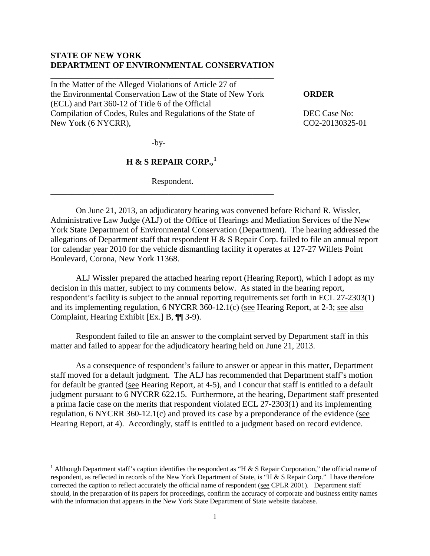### **STATE OF NEW YORK DEPARTMENT OF ENVIRONMENTAL CONSERVATION**

\_\_\_\_\_\_\_\_\_\_\_\_\_\_\_\_\_\_\_\_\_\_\_\_\_\_\_\_\_\_\_\_\_\_\_\_\_\_\_\_\_\_\_\_\_\_\_\_\_\_\_\_\_

In the Matter of the Alleged Violations of Article 27 of the Environmental Conservation Law of the State of New York **ORDER** (ECL) and Part 360-12 of Title 6 of the Official Compilation of Codes, Rules and Regulations of the State of DEC Case No: New York (6 NYCRR), CO2-20130325-01

-by-

\_\_\_\_\_\_\_\_\_\_\_\_\_\_\_\_\_\_\_\_\_\_\_\_\_\_\_\_\_\_\_\_\_\_\_\_\_\_\_\_\_\_\_\_\_\_\_\_\_\_\_\_\_

 $\overline{a}$ 

## **H & S REPAIR CORP.,[1](#page-0-0)**

Respondent.

On June 21, 2013, an adjudicatory hearing was convened before Richard R. Wissler, Administrative Law Judge (ALJ) of the Office of Hearings and Mediation Services of the New York State Department of Environmental Conservation (Department). The hearing addressed the allegations of Department staff that respondent H & S Repair Corp. failed to file an annual report for calendar year 2010 for the vehicle dismantling facility it operates at 127-27 Willets Point Boulevard, Corona, New York 11368.

ALJ Wissler prepared the attached hearing report (Hearing Report), which I adopt as my decision in this matter, subject to my comments below. As stated in the hearing report, respondent's facility is subject to the annual reporting requirements set forth in ECL 27-2303(1) and its implementing regulation, 6 NYCRR 360-12.1(c) (see Hearing Report, at 2-3; see also Complaint, Hearing Exhibit [Ex.] B, ¶¶ 3-9).

Respondent failed to file an answer to the complaint served by Department staff in this matter and failed to appear for the adjudicatory hearing held on June 21, 2013.

As a consequence of respondent's failure to answer or appear in this matter, Department staff moved for a default judgment. The ALJ has recommended that Department staff's motion for default be granted (see Hearing Report, at 4-5), and I concur that staff is entitled to a default judgment pursuant to 6 NYCRR 622.15. Furthermore, at the hearing, Department staff presented a prima facie case on the merits that respondent violated ECL 27-2303(1) and its implementing regulation, 6 NYCRR 360-12.1(c) and proved its case by a preponderance of the evidence (see Hearing Report, at 4). Accordingly, staff is entitled to a judgment based on record evidence.

<span id="page-0-0"></span><sup>&</sup>lt;sup>1</sup> Although Department staff's caption identifies the respondent as "H & S Repair Corporation," the official name of respondent, as reflected in records of the New York Department of State, is "H & S Repair Corp." I have therefore corrected the caption to reflect accurately the official name of respondent (see CPLR 2001). Department staff should, in the preparation of its papers for proceedings, confirm the accuracy of corporate and business entity names with the information that appears in the New York State Department of State website database.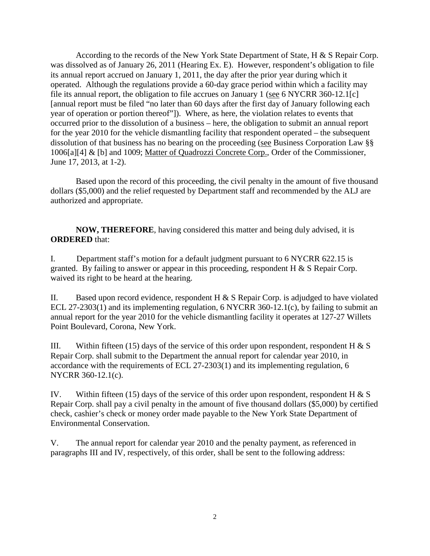According to the records of the New York State Department of State, H & S Repair Corp. was dissolved as of January 26, 2011 (Hearing Ex. E). However, respondent's obligation to file its annual report accrued on January 1, 2011, the day after the prior year during which it operated. Although the regulations provide a 60-day grace period within which a facility may file its annual report, the obligation to file accrues on January 1 (see 6 NYCRR 360-12.1[c] [annual report must be filed "no later than 60 days after the first day of January following each year of operation or portion thereof"]). Where, as here, the violation relates to events that occurred prior to the dissolution of a business – here, the obligation to submit an annual report for the year 2010 for the vehicle dismantling facility that respondent operated – the subsequent dissolution of that business has no bearing on the proceeding (see Business Corporation Law §§ 1006[a][4] & [b] and 1009; Matter of Quadrozzi Concrete Corp., Order of the Commissioner, June 17, 2013, at 1-2).

Based upon the record of this proceeding, the civil penalty in the amount of five thousand dollars (\$5,000) and the relief requested by Department staff and recommended by the ALJ are authorized and appropriate.

**NOW, THEREFORE**, having considered this matter and being duly advised, it is **ORDERED** that:

I. Department staff's motion for a default judgment pursuant to 6 NYCRR 622.15 is granted. By failing to answer or appear in this proceeding, respondent  $H \& S$  Repair Corp. waived its right to be heard at the hearing.

II. Based upon record evidence, respondent H  $& S$  Repair Corp. is adjudged to have violated ECL 27-2303(1) and its implementing regulation, 6 NYCRR 360-12.1(c), by failing to submit an annual report for the year 2010 for the vehicle dismantling facility it operates at 127-27 Willets Point Boulevard, Corona, New York.

III. Within fifteen (15) days of the service of this order upon respondent, respondent H  $\&$  S Repair Corp. shall submit to the Department the annual report for calendar year 2010, in accordance with the requirements of ECL 27-2303(1) and its implementing regulation, 6 NYCRR 360-12.1(c).

IV. Within fifteen (15) days of the service of this order upon respondent, respondent H  $\&$  S Repair Corp. shall pay a civil penalty in the amount of five thousand dollars (\$5,000) by certified check, cashier's check or money order made payable to the New York State Department of Environmental Conservation.

V. The annual report for calendar year 2010 and the penalty payment, as referenced in paragraphs III and IV, respectively, of this order, shall be sent to the following address: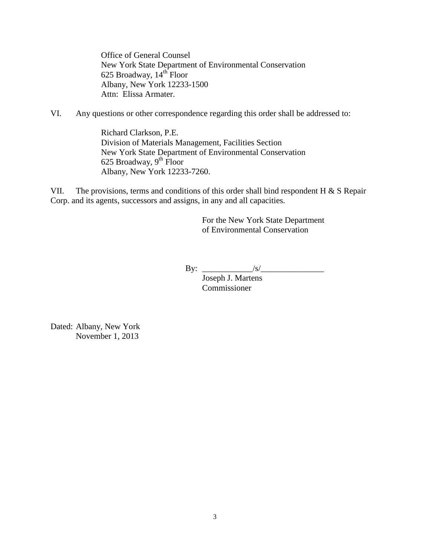Office of General Counsel New York State Department of Environmental Conservation 625 Broadway,  $14<sup>th</sup>$  Floor Albany, New York 12233-1500 Attn: Elissa Armater.

VI. Any questions or other correspondence regarding this order shall be addressed to:

Richard Clarkson, P.E. Division of Materials Management, Facilities Section New York State Department of Environmental Conservation 625 Broadway,  $9^{\text{th}}$  Floor Albany, New York 12233-7260.

VII. The provisions, terms and conditions of this order shall bind respondent H  $\&$  S Repair Corp. and its agents, successors and assigns, in any and all capacities.

> For the New York State Department of Environmental Conservation

By: \_\_\_\_\_\_\_\_\_\_\_\_/s/\_\_\_\_\_\_\_\_\_\_\_\_\_\_\_

Joseph J. Martens Commissioner

Dated: Albany, New York November 1, 2013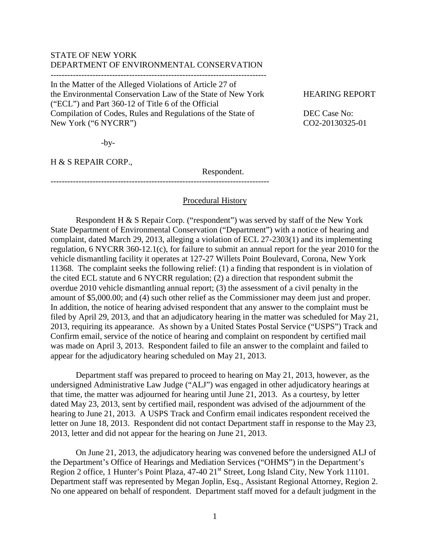## STATE OF NEW YORK DEPARTMENT OF ENVIRONMENTAL CONSERVATION

-----------------------------------------------------------------------------

In the Matter of the Alleged Violations of Article 27 of the Environmental Conservation Law of the State of New York HEARING REPORT ("ECL") and Part 360-12 of Title 6 of the Official Compilation of Codes, Rules and Regulations of the State of DEC Case No: New York ("6 NYCRR") CO2-20130325-01

------------------------------------------------------------------------------

 $-by-$ 

H & S REPAIR CORP.,

Respondent.

# Procedural History

Respondent H & S Repair Corp. ("respondent") was served by staff of the New York State Department of Environmental Conservation ("Department") with a notice of hearing and complaint, dated March 29, 2013, alleging a violation of ECL 27-2303(1) and its implementing regulation, 6 NYCRR 360-12.1(c), for failure to submit an annual report for the year 2010 for the vehicle dismantling facility it operates at 127-27 Willets Point Boulevard, Corona, New York 11368. The complaint seeks the following relief: (1) a finding that respondent is in violation of the cited ECL statute and 6 NYCRR regulation; (2) a direction that respondent submit the overdue 2010 vehicle dismantling annual report; (3) the assessment of a civil penalty in the amount of \$5,000.00; and (4) such other relief as the Commissioner may deem just and proper. In addition, the notice of hearing advised respondent that any answer to the complaint must be filed by April 29, 2013, and that an adjudicatory hearing in the matter was scheduled for May 21, 2013, requiring its appearance. As shown by a United States Postal Service ("USPS") Track and Confirm email, service of the notice of hearing and complaint on respondent by certified mail was made on April 3, 2013. Respondent failed to file an answer to the complaint and failed to appear for the adjudicatory hearing scheduled on May 21, 2013.

Department staff was prepared to proceed to hearing on May 21, 2013, however, as the undersigned Administrative Law Judge ("ALJ") was engaged in other adjudicatory hearings at that time, the matter was adjourned for hearing until June 21, 2013. As a courtesy, by letter dated May 23, 2013, sent by certified mail, respondent was advised of the adjournment of the hearing to June 21, 2013. A USPS Track and Confirm email indicates respondent received the letter on June 18, 2013. Respondent did not contact Department staff in response to the May 23, 2013, letter and did not appear for the hearing on June 21, 2013.

On June 21, 2013, the adjudicatory hearing was convened before the undersigned ALJ of the Department's Office of Hearings and Mediation Services ("OHMS") in the Department's Region 2 office, 1 Hunter's Point Plaza, 47-40 21<sup>st</sup> Street, Long Island City, New York 11101. Department staff was represented by Megan Joplin, Esq., Assistant Regional Attorney, Region 2. No one appeared on behalf of respondent. Department staff moved for a default judgment in the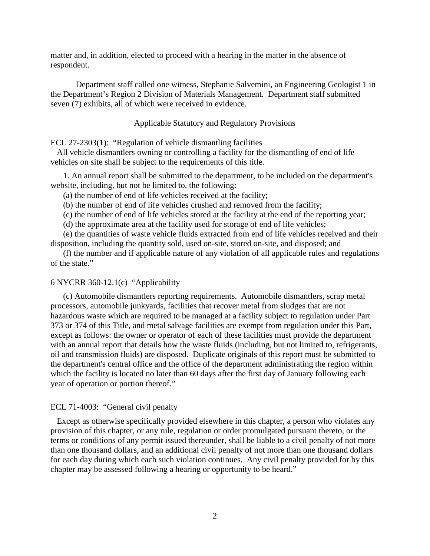matter and, in addition, elected to proceed with a hearing in the matter in the absence of respondent.

Department staff called one witness, Stephanie Salvemini, an Engineering Geologist 1 in the Department's Region 2 Division of Materials Management. Department staff submitted seven (7) exhibits, all of which were received in evidence.

#### Applicable Statutory and Regulatory Provisions

ECL 27-2303(1): "Regulation of vehicle dismantling facilities

 All vehicle dismantlers owning or controlling a facility for the dismantling of end of life vehicles on site shall be subject to the requirements of this title.

1. An annual report shall be submitted to the department, to be included on the department's website, including, but not be limited to, the following:

(a) the number of end of life vehicles received at the facility;

(b) the number of end of life vehicles crushed and removed from the facility;

(c) the number of end of life vehicles stored at the facility at the end of the reporting year;

(d) the approximate area at the facility used for storage of end of life vehicles;

 (e) the quantities of waste vehicle fluids extracted from end of life vehicles received and their disposition, including the quantity sold, used on-site, stored on-site, and disposed; and

 (f) the number and if applicable nature of any violation of all applicable rules and regulations of the state."

#### 6 NYCRR 360-12.1(c) "Applicability

(c) Automobile dismantlers reporting requirements. Automobile dismantlers, scrap metal processors, automobile junkyards, facilities that recover metal from sludges that are not hazardous waste which are required to be managed at a facility subject to regulation under Part 373 or 374 of this Title, and metal salvage facilities are exempt from regulation under this Part, except as follows: the owner or operator of each of these facilities must provide the department with an annual report that details how the waste fluids (including, but not limited to, refrigerants, oil and transmission fluids) are disposed. Duplicate originals of this report must be submitted to the department's central office and the office of the department administrating the region within which the facility is located no later than 60 days after the first day of January following each year of operation or portion thereof."

#### ECL 71-4003: "General civil penalty

 Except as otherwise specifically provided elsewhere in this chapter, a person who violates any provision of this chapter, or any rule, regulation or order promulgated pursuant thereto, or the terms or conditions of any permit issued thereunder, shall be liable to a civil penalty of not more than one thousand dollars, and an additional civil penalty of not more than one thousand dollars for each day during which each such violation continues. Any civil penalty provided for by this chapter may be assessed following a hearing or opportunity to be heard."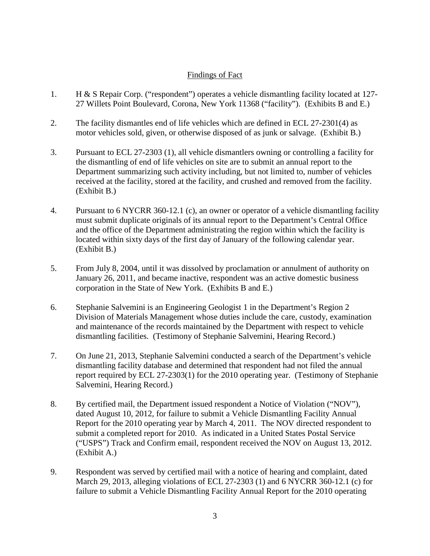## Findings of Fact

- 1. H & S Repair Corp. ("respondent") operates a vehicle dismantling facility located at 127- 27 Willets Point Boulevard, Corona, New York 11368 ("facility"). (Exhibits B and E.)
- 2. The facility dismantles end of life vehicles which are defined in ECL 27-2301(4) as motor vehicles sold, given, or otherwise disposed of as junk or salvage. (Exhibit B.)
- 3. Pursuant to ECL 27-2303 (1), all vehicle dismantlers owning or controlling a facility for the dismantling of end of life vehicles on site are to submit an annual report to the Department summarizing such activity including, but not limited to, number of vehicles received at the facility, stored at the facility, and crushed and removed from the facility. (Exhibit B.)
- 4. Pursuant to 6 NYCRR 360-12.1 (c), an owner or operator of a vehicle dismantling facility must submit duplicate originals of its annual report to the Department's Central Office and the office of the Department administrating the region within which the facility is located within sixty days of the first day of January of the following calendar year. (Exhibit B.)
- 5. From July 8, 2004, until it was dissolved by proclamation or annulment of authority on January 26, 2011, and became inactive, respondent was an active domestic business corporation in the State of New York. (Exhibits B and E.)
- 6. Stephanie Salvemini is an Engineering Geologist 1 in the Department's Region 2 Division of Materials Management whose duties include the care, custody, examination and maintenance of the records maintained by the Department with respect to vehicle dismantling facilities. (Testimony of Stephanie Salvemini, Hearing Record.)
- 7. On June 21, 2013, Stephanie Salvemini conducted a search of the Department's vehicle dismantling facility database and determined that respondent had not filed the annual report required by ECL 27-2303(1) for the 2010 operating year. (Testimony of Stephanie Salvemini, Hearing Record.)
- 8. By certified mail, the Department issued respondent a Notice of Violation ("NOV"), dated August 10, 2012, for failure to submit a Vehicle Dismantling Facility Annual Report for the 2010 operating year by March 4, 2011. The NOV directed respondent to submit a completed report for 2010. As indicated in a United States Postal Service ("USPS") Track and Confirm email, respondent received the NOV on August 13, 2012. (Exhibit A.)
- 9. Respondent was served by certified mail with a notice of hearing and complaint, dated March 29, 2013, alleging violations of ECL 27-2303 (1) and 6 NYCRR 360-12.1 (c) for failure to submit a Vehicle Dismantling Facility Annual Report for the 2010 operating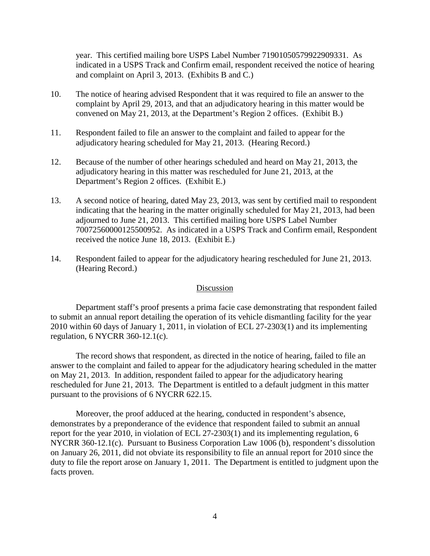year. This certified mailing bore USPS Label Number 71901050579922909331. As indicated in a USPS Track and Confirm email, respondent received the notice of hearing and complaint on April 3, 2013. (Exhibits B and C.)

- 10. The notice of hearing advised Respondent that it was required to file an answer to the complaint by April 29, 2013, and that an adjudicatory hearing in this matter would be convened on May 21, 2013, at the Department's Region 2 offices. (Exhibit B.)
- 11. Respondent failed to file an answer to the complaint and failed to appear for the adjudicatory hearing scheduled for May 21, 2013. (Hearing Record.)
- 12. Because of the number of other hearings scheduled and heard on May 21, 2013, the adjudicatory hearing in this matter was rescheduled for June 21, 2013, at the Department's Region 2 offices. (Exhibit E.)
- 13. A second notice of hearing, dated May 23, 2013, was sent by certified mail to respondent indicating that the hearing in the matter originally scheduled for May 21, 2013, had been adjourned to June 21, 2013. This certified mailing bore USPS Label Number 70072560000125500952. As indicated in a USPS Track and Confirm email, Respondent received the notice June 18, 2013. (Exhibit E.)
- 14. Respondent failed to appear for the adjudicatory hearing rescheduled for June 21, 2013. (Hearing Record.)

## Discussion

Department staff's proof presents a prima facie case demonstrating that respondent failed to submit an annual report detailing the operation of its vehicle dismantling facility for the year 2010 within 60 days of January 1, 2011, in violation of ECL 27-2303(1) and its implementing regulation, 6 NYCRR 360-12.1(c).

The record shows that respondent, as directed in the notice of hearing, failed to file an answer to the complaint and failed to appear for the adjudicatory hearing scheduled in the matter on May 21, 2013. In addition, respondent failed to appear for the adjudicatory hearing rescheduled for June 21, 2013. The Department is entitled to a default judgment in this matter pursuant to the provisions of 6 NYCRR 622.15.

Moreover, the proof adduced at the hearing, conducted in respondent's absence, demonstrates by a preponderance of the evidence that respondent failed to submit an annual report for the year 2010, in violation of ECL 27-2303(1) and its implementing regulation, 6 NYCRR 360-12.1(c). Pursuant to Business Corporation Law 1006 (b), respondent's dissolution on January 26, 2011, did not obviate its responsibility to file an annual report for 2010 since the duty to file the report arose on January 1, 2011. The Department is entitled to judgment upon the facts proven.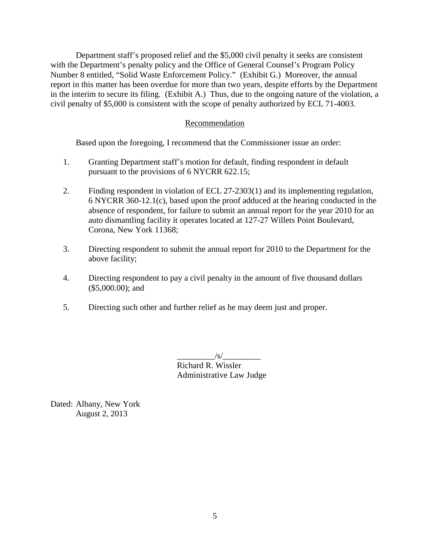Department staff's proposed relief and the \$5,000 civil penalty it seeks are consistent with the Department's penalty policy and the Office of General Counsel's Program Policy Number 8 entitled, "Solid Waste Enforcement Policy." (Exhibit G.) Moreover, the annual report in this matter has been overdue for more than two years, despite efforts by the Department in the interim to secure its filing. (Exhibit A.) Thus, due to the ongoing nature of the violation, a civil penalty of \$5,000 is consistent with the scope of penalty authorized by ECL 71-4003.

## Recommendation

Based upon the foregoing, I recommend that the Commissioner issue an order:

- 1. Granting Department staff's motion for default, finding respondent in default pursuant to the provisions of 6 NYCRR 622.15;
- 2. Finding respondent in violation of ECL 27-2303(1) and its implementing regulation, 6 NYCRR 360-12.1(c), based upon the proof adduced at the hearing conducted in the absence of respondent, for failure to submit an annual report for the year 2010 for an auto dismantling facility it operates located at 127-27 Willets Point Boulevard, Corona, New York 11368;
- 3. Directing respondent to submit the annual report for 2010 to the Department for the above facility;
- 4. Directing respondent to pay a civil penalty in the amount of five thousand dollars (\$5,000.00); and
- 5. Directing such other and further relief as he may deem just and proper.

 $/\mathrm{s}/\mathrm{s}$ Richard R. Wissler Administrative Law Judge

Dated: Albany, New York August 2, 2013